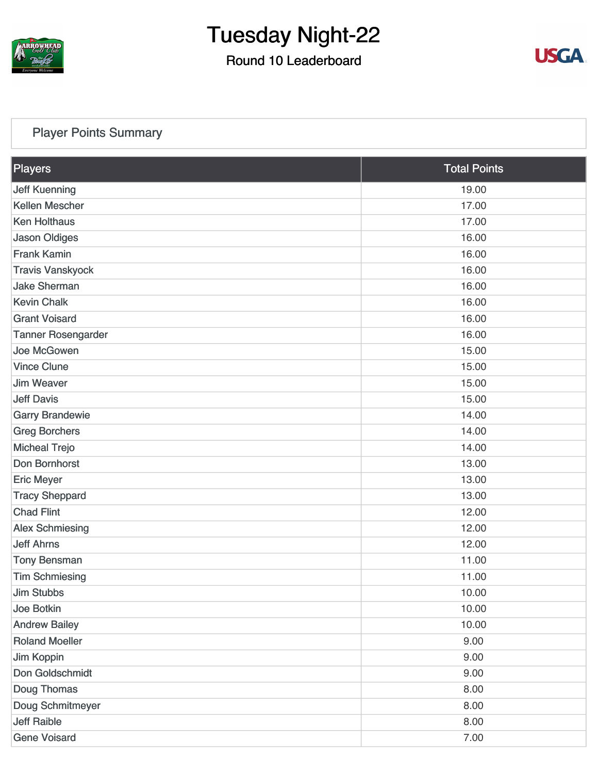

### Round 10 Leaderboard



### [Player Points Summary](https://static.golfgenius.com/v2tournaments/total_points?league_id=8105993687684621485&round_id=8105995562169410790)

| Players                   | <b>Total Points</b> |  |
|---------------------------|---------------------|--|
| <b>Jeff Kuenning</b>      | 19.00               |  |
| Kellen Mescher            | 17.00               |  |
| <b>Ken Holthaus</b>       | 17.00               |  |
| <b>Jason Oldiges</b>      | 16.00               |  |
| <b>Frank Kamin</b>        | 16.00               |  |
| <b>Travis Vanskyock</b>   | 16.00               |  |
| <b>Jake Sherman</b>       | 16.00               |  |
| <b>Kevin Chalk</b>        | 16.00               |  |
| <b>Grant Voisard</b>      | 16.00               |  |
| <b>Tanner Rosengarder</b> | 16.00               |  |
| Joe McGowen               | 15.00               |  |
| <b>Vince Clune</b>        | 15.00               |  |
| <b>Jim Weaver</b>         | 15.00               |  |
| <b>Jeff Davis</b>         | 15.00               |  |
| <b>Garry Brandewie</b>    | 14.00               |  |
| <b>Greg Borchers</b>      | 14.00               |  |
| <b>Micheal Trejo</b>      | 14.00               |  |
| Don Bornhorst             | 13.00               |  |
| <b>Eric Meyer</b>         | 13.00               |  |
| <b>Tracy Sheppard</b>     | 13.00               |  |
| <b>Chad Flint</b>         | 12.00               |  |
| <b>Alex Schmiesing</b>    | 12.00               |  |
| <b>Jeff Ahrns</b>         | 12.00               |  |
| <b>Tony Bensman</b>       | 11.00               |  |
| <b>Tim Schmiesing</b>     | 11.00               |  |
| <b>Jim Stubbs</b>         | 10.00               |  |
| <b>Joe Botkin</b>         | 10.00               |  |
| <b>Andrew Bailey</b>      | 10.00               |  |
| <b>Roland Moeller</b>     | 9.00                |  |
| Jim Koppin                | 9.00                |  |
| Don Goldschmidt           | 9.00                |  |
| Doug Thomas               | 8.00                |  |
| Doug Schmitmeyer          | 8.00                |  |
| <b>Jeff Raible</b>        | 8.00                |  |
| <b>Gene Voisard</b>       | 7.00                |  |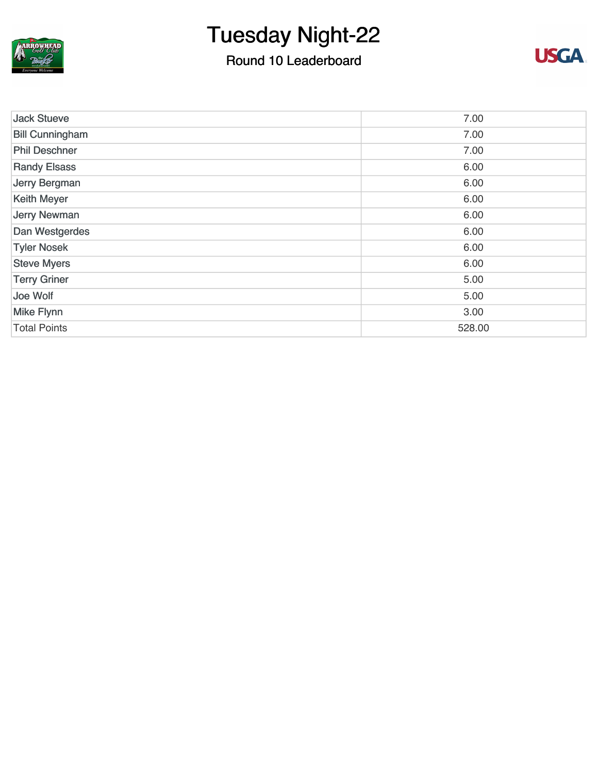

### Round 10 Leaderboard



| <b>Jack Stueve</b>     | 7.00   |
|------------------------|--------|
| <b>Bill Cunningham</b> | 7.00   |
| <b>Phil Deschner</b>   | 7.00   |
| <b>Randy Elsass</b>    | 6.00   |
| Jerry Bergman          | 6.00   |
| <b>Keith Meyer</b>     | 6.00   |
| <b>Jerry Newman</b>    | 6.00   |
| Dan Westgerdes         | 6.00   |
| <b>Tyler Nosek</b>     | 6.00   |
| <b>Steve Myers</b>     | 6.00   |
| <b>Terry Griner</b>    | 5.00   |
| Joe Wolf               | 5.00   |
| <b>Mike Flynn</b>      | 3.00   |
| <b>Total Points</b>    | 528.00 |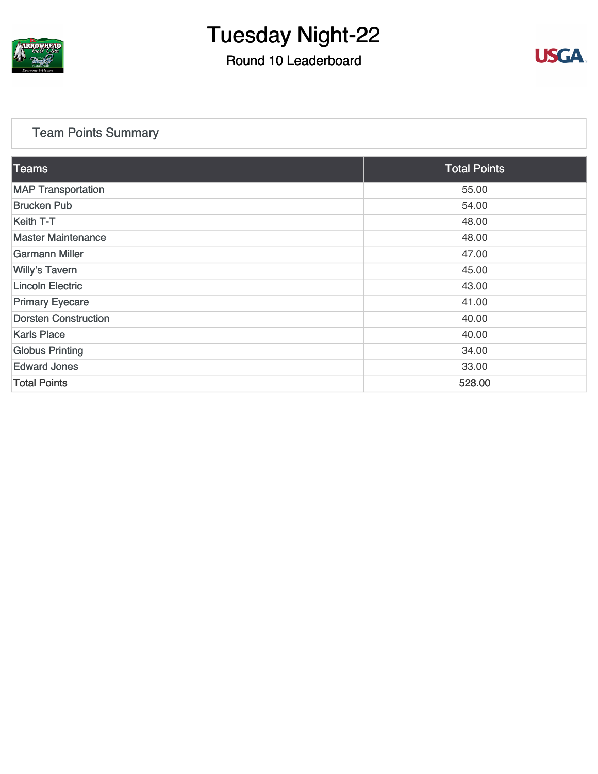

### Round 10 Leaderboard



### [Team Points Summary](https://static.golfgenius.com/v2tournaments/team_points?league_id=8105993687684621485&round_id=8105995562169410790)

| <b>Teams</b>                | <b>Total Points</b> |
|-----------------------------|---------------------|
| <b>MAP Transportation</b>   | 55.00               |
| <b>Brucken Pub</b>          | 54.00               |
| Keith T-T                   | 48.00               |
| <b>Master Maintenance</b>   | 48.00               |
| <b>Garmann Miller</b>       | 47.00               |
| <b>Willy's Tavern</b>       | 45.00               |
| <b>Lincoln Electric</b>     | 43.00               |
| <b>Primary Eyecare</b>      | 41.00               |
| <b>Dorsten Construction</b> | 40.00               |
| <b>Karls Place</b>          | 40.00               |
| <b>Globus Printing</b>      | 34.00               |
| <b>Edward Jones</b>         | 33.00               |
| <b>Total Points</b>         | 528.00              |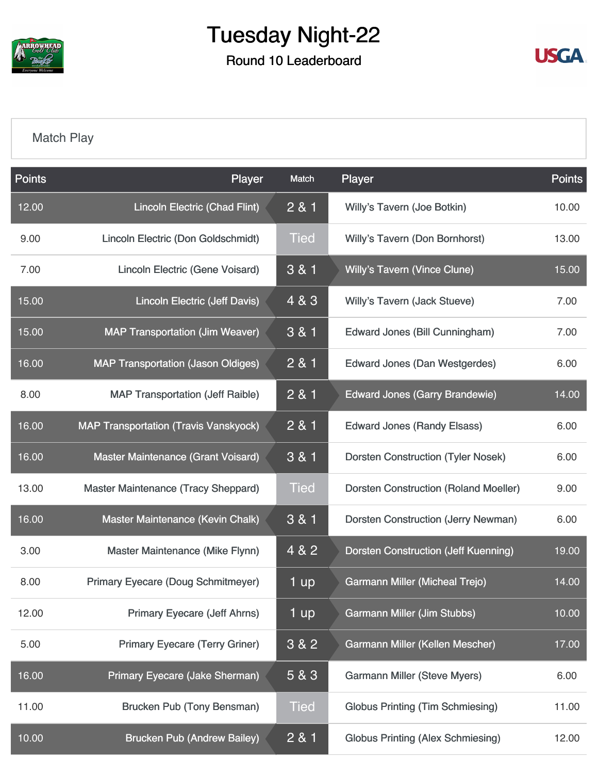

Round 10 Leaderboard



### [Match Play](https://static.golfgenius.com/v2tournaments/8105996275402417361?called_from=&round_index=10)

| <b>Points</b> | Player                                       | Match       | Player                                       | <b>Points</b> |
|---------------|----------------------------------------------|-------------|----------------------------------------------|---------------|
| 12.00         | <b>Lincoln Electric (Chad Flint)</b>         | 2 & 1       | Willy's Tavern (Joe Botkin)                  | 10.00         |
| 9.00          | Lincoln Electric (Don Goldschmidt)           | <b>Tied</b> | Willy's Tavern (Don Bornhorst)               | 13.00         |
| 7.00          | <b>Lincoln Electric (Gene Voisard)</b>       | 3 & 1       | <b>Willy's Tavern (Vince Clune)</b>          | 15.00         |
| 15.00         | <b>Lincoln Electric (Jeff Davis)</b>         | 4 & 3       | Willy's Tavern (Jack Stueve)                 | 7.00          |
| 15.00         | <b>MAP Transportation (Jim Weaver)</b>       | 3 & 1       | <b>Edward Jones (Bill Cunningham)</b>        | 7.00          |
| 16.00         | <b>MAP Transportation (Jason Oldiges)</b>    | 2 & 1       | <b>Edward Jones (Dan Westgerdes)</b>         | 6.00          |
| 8.00          | <b>MAP Transportation (Jeff Raible)</b>      | 2 & 1       | <b>Edward Jones (Garry Brandewie)</b>        | 14.00         |
| 16.00         | <b>MAP Transportation (Travis Vanskyock)</b> | 2 & 1       | <b>Edward Jones (Randy Elsass)</b>           | 6.00          |
| 16.00         | Master Maintenance (Grant Voisard)           | 3 & 1       | <b>Dorsten Construction (Tyler Nosek)</b>    | 6.00          |
| 13.00         | Master Maintenance (Tracy Sheppard)          | <b>Tied</b> | <b>Dorsten Construction (Roland Moeller)</b> | 9.00          |
| 16.00         | Master Maintenance (Kevin Chalk)             | 3 & 1       | <b>Dorsten Construction (Jerry Newman)</b>   | 6.00          |
| 3.00          | Master Maintenance (Mike Flynn)              | 4 & 2       | <b>Dorsten Construction (Jeff Kuenning)</b>  | 19.00         |
| 8.00          | <b>Primary Eyecare (Doug Schmitmeyer)</b>    | 1 up        | <b>Garmann Miller (Micheal Trejo)</b>        | 14.00         |
| 12.00         | <b>Primary Eyecare (Jeff Ahrns)</b>          | 1 up        | <b>Garmann Miller (Jim Stubbs)</b>           | 10.00         |
| 5.00          | <b>Primary Eyecare (Terry Griner)</b>        | 3 & 2       | Garmann Miller (Kellen Mescher)              | 17.00         |
| 16.00         | Primary Eyecare (Jake Sherman)               | 5 & 3       | <b>Garmann Miller (Steve Myers)</b>          | 6.00          |
| 11.00         | <b>Brucken Pub (Tony Bensman)</b>            | <b>Tied</b> | <b>Globus Printing (Tim Schmiesing)</b>      | 11.00         |
| 10.00         | <b>Brucken Pub (Andrew Bailey)</b>           | 2 & 1       | <b>Globus Printing (Alex Schmiesing)</b>     | 12.00         |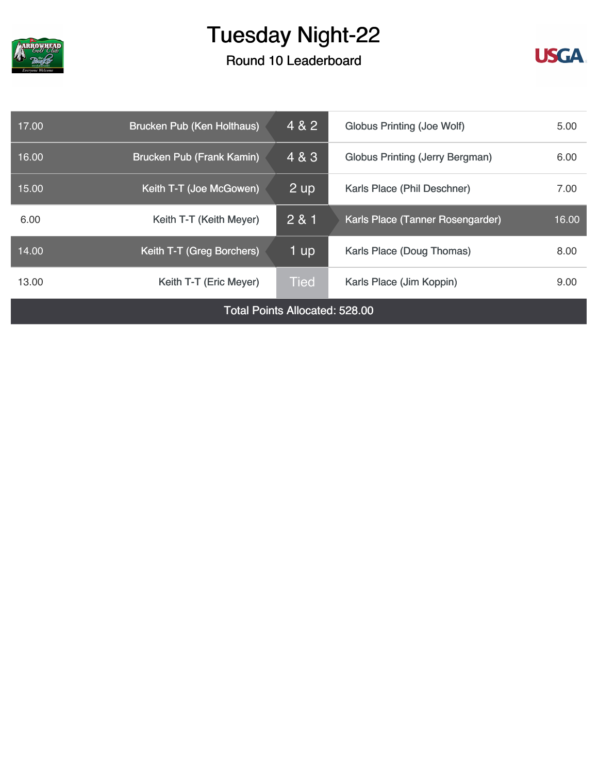

### Round 10 Leaderboard



| 17.00                                 | <b>Brucken Pub (Ken Holthaus)</b> | 4 & 2       | <b>Globus Printing (Joe Wolf)</b><br>5.00 |       |
|---------------------------------------|-----------------------------------|-------------|-------------------------------------------|-------|
| 16.00                                 | <b>Brucken Pub (Frank Kamin)</b>  | 4 & 3       | <b>Globus Printing (Jerry Bergman)</b>    | 6.00  |
| 15.00                                 | Keith T-T (Joe McGowen)           | 2 up        | Karls Place (Phil Deschner)               | 7.00  |
| 6.00                                  | Keith T-T (Keith Meyer)           | 2 & 1       | Karls Place (Tanner Rosengarder)          | 16.00 |
| 14.00                                 | Keith T-T (Greg Borchers)         | 1 up        | Karls Place (Doug Thomas)                 | 8.00  |
| 13.00                                 | Keith T-T (Eric Meyer)            | <b>Tied</b> | Karls Place (Jim Koppin)                  |       |
| <b>Total Points Allocated: 528.00</b> |                                   |             |                                           |       |